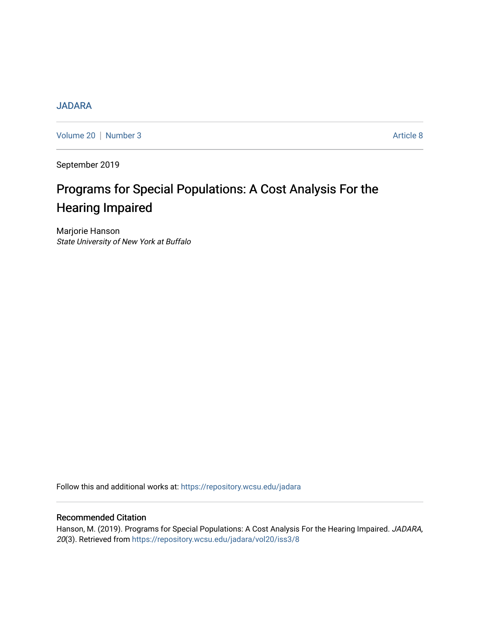# **[JADARA](https://repository.wcsu.edu/jadara)**

[Volume 20](https://repository.wcsu.edu/jadara/vol20) | [Number 3](https://repository.wcsu.edu/jadara/vol20/iss3) Article 8

September 2019

# Programs for Special Populations: A Cost Analysis For the Hearing Impaired

Marjorie Hanson State University of New York at Buffalo

Follow this and additional works at: [https://repository.wcsu.edu/jadara](https://repository.wcsu.edu/jadara?utm_source=repository.wcsu.edu%2Fjadara%2Fvol20%2Fiss3%2F8&utm_medium=PDF&utm_campaign=PDFCoverPages)

# Recommended Citation

Hanson, M. (2019). Programs for Special Populations: A Cost Analysis For the Hearing Impaired. JADARA, 20(3). Retrieved from [https://repository.wcsu.edu/jadara/vol20/iss3/8](https://repository.wcsu.edu/jadara/vol20/iss3/8?utm_source=repository.wcsu.edu%2Fjadara%2Fvol20%2Fiss3%2F8&utm_medium=PDF&utm_campaign=PDFCoverPages)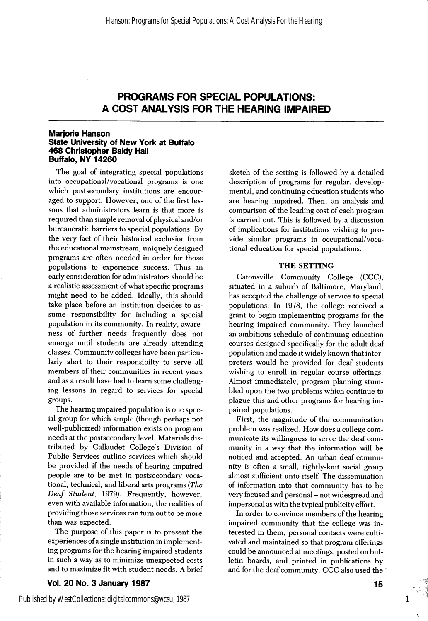#### Marjorie Hanson State University of New York at Buffalo **468 Christopher Baldy Hall** Buffalo, NY 14260

The goal of integrating special populations into occupational/vocational programs is one which postsecondary institutions are encour aged to support. However, one of the first les sons that administrators learn is that more is required than simple removal of physical and/or bureaucratic barriers to special populations. By the very fact of their historical exclusion from the educational mainstream, uniquely designed programs are often needed in order for those populations to experience success. Thus an early consideration for administrators should be a realistic assessment of what specific programs might need to be added. Ideally, this should take place before an institution decides to as sume responsibility for including a special population in its community. In reality, aware ness of further needs frequently does not emerge until students are already attending classes. Community colleges have been particu larly alert to their responsibilty to serve all members of their communities in recent years and as a result have had to learn some challeng ing lessons in regard to services for special groups.

The hearing impaired population is one spec ial group for which ample (though perhaps not well-publicized) information exists on program needs at the postsecondary level. Materials dis tributed by Gallaudet College's Division of Public Services outline services which should be provided if the needs of hearing impaired people are to be met in postsecondary voca tional, technical, and liberal arts programs {The Deaf Student, 1979). Frequently, however, even with available information, the realities of providing those services can turn out to be more than was expected.

The purpose of this paper is to present the experiences of a single institution in implement ing programs for the hearing impaired students in such a way as to minimize unexpected costs and to maximize fit with student needs. A brief

Vol. 20 No. 3 January 1987

sketch of the setting is followed by a detailed description of programs for regular, develop mental, and continuing education students who are hearing impaired. Then, an analysis and comparison of the leading cost of each program is carried out. This is followed by a discussion of implications for institutions wishing to pro vide similar programs in occupational/voca tional education for special populations.

#### THE SETTING

Catonsville Community College (CCC), situated in a suburb of Baltimore, Maryland, has accepted the challenge of service to special populations. In 1978, the college received a grant to begin implementing programs for the hearing impaired community. They launched an ambitious schedule of continuing education courses designed specifically for the adult deaf population and made it widely known that inter preters would be provided for deaf students wishing to enroll in regular course offerings. Almost immediately, program planning stum bled upon the two problems which continue to plague this and other programs for hearing im paired populations.

First, the magnitude of the communication problem was realized. How does a college com municate its willingness to serve the deaf com munity in a way that the information will be noticed and accepted. An urban deaf commu nity is often a small, tightly-knit social group almost sufficient unto itself. The dissemination of information into that community has to be very focused and personal - not widespread and impersonal as with the typical publicity effort.

In order to convince members of the hearing impaired community that the college was in terested in them, personal contacts were culti vated and maintained so that program offerings could be announced at meetings, posted on bul letin boards, and printed in publications by and for the deaf community. CCC also used the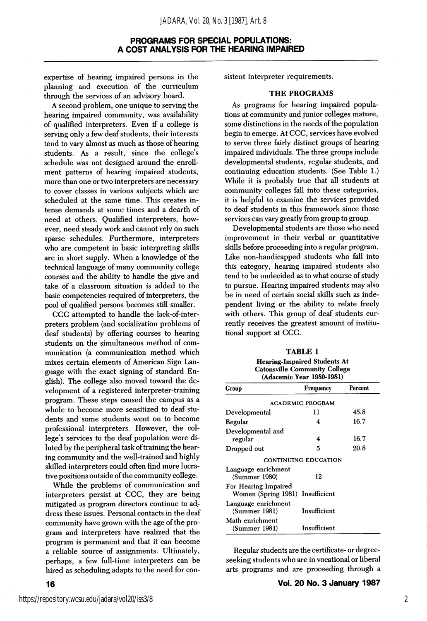expertise of hearing impaired persons in the planning and execution of the curriculum through the services of an advisory board.

A second problem, one unique to serving the hearing impaired community, was availability of qualified interpreters. Even if a college is serving only a few deaf students, their interests tend to vary almost as much as those of hearing students. As a result, since the college's schedule was not designed around the enroll ment patterns of hearing impaired students, more than one or two interpreters are necessary to cover classes in various subjects which are scheduled at the same time. This creates in tense demands at some times and a dearth of need at others. Qualified interpreters, how ever, need steady work and cannot rely on such sparse schedules. Furthermore, interpreters who are competent in basic interpreting skills are in short supply. When a knowledge of the technical language of many community college courses and the ability to handle the give and take of a classroom situation is added to the basic competencies required of interpreters, the pool of qualified persons becomes still smaller.

CCC attempted to handle the lack-of-interpreters problem (and socialization problems of deaf students) by offering courses to hearing students on the simultaneous method of com munication (a communication method which mixes certain elements of American Sign Lan guage with the exact signing of standard En glish). The college also moved toward the de velopment of a registered interpreter-training program. These steps caused the campus as a whole to become more sensitized to deaf stu dents and some students went on to become professional interpreters. However, the col lege's services to the deaf population were di luted by the peripheral task of training the hear ing community and the well-trained and highly skilled interpreters could often find more lucra tive positions outside of the community college.

While the problems of communication and interpreters persist at CCC, they are being mitigated as program directors continue to ad. dress these issues. Personal contacts in the deaf community have grown with the age of the pro gram and interpreters have realized that the program is permanent and that it can become a reliable source of assignments. Ultimately, perhaps, a few full-time interpreters can be hired as scheduling adapts to the need for con-

#### THE PROGRAMS

As programs for hearing impaired popula tions at community and junior colleges mature, some distinctions in the needs of the population begin to emerge. At CCC, services have evolved to serve three fairly distinct groups of hearing impaired individuals. The three groups include developmental students, regular students, and continuing education students. (See Table 1.) While it is probably true that all students at community colleges fall into these categories, it is helpful to examine the services provided to deaf students in this framework since those services can vary greatly from group to group.

Developmental students are those who need improvement in their verbal or quantitative skills before proceeding into a regular program. Like non-handicapped students who fall into this category, hearing impaired students also tend to be undecided as to what course of study to pursue. Hearing impaired students may also be in need of certain social skills such as inde pendent living or the ability to relate freely with others. This group of deaf students cur rently receives the greatest amount of institu tional support at CCC.

| <b>TABLE 1</b>                       |
|--------------------------------------|
| <b>Hearing-Impaired Students At</b>  |
| <b>Catonsville Community College</b> |

| (Adacemic Year 1980-1981)                   |                         |         |  |  |  |
|---------------------------------------------|-------------------------|---------|--|--|--|
| Group                                       | Frequency               | Percent |  |  |  |
|                                             | <b>ACADEMIC PROGRAM</b> |         |  |  |  |
| Developmental                               | 11                      | 45.8    |  |  |  |
| Regular                                     | 4                       | 16.7    |  |  |  |
| Developmental and<br>regular                | 4                       | 16.7    |  |  |  |
| Dropped out                                 | 5                       | 20.8    |  |  |  |
|                                             | CONTINUING EDUCATION    |         |  |  |  |
| Language enrichment<br>(Summer 1980)        | 12                      |         |  |  |  |
| For Hearing Impaired<br>Women (Spring 1981) | Insufficient            |         |  |  |  |
| Language enrichment<br>(Summer 1981)        | Insufficient            |         |  |  |  |
| Math enrichment<br>(Summer 1981)            | Insufficient            |         |  |  |  |

Regular students are the certificate- or degreeseeking students who are in vocational or liberal arts programs and are proceeding through a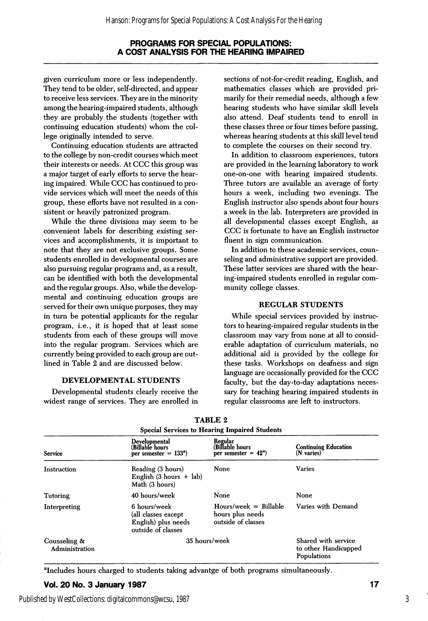given curriculum more or less independently. They tend to be older, self-directed, and appear to receive less services. They are in the minority among the hearing-impaired students, although they are probably the students (together with continuing education students) whom the col lege originally intended to serve.

Continuing education students are attracted to the college by non-credit courses which meet their interests or needs. At CCC this group was a major target of early efforts to serve the hear ing impaired. While CCC has continued to pro vide services which will meet the needs of this group, these efforts have not resulted in a con sistent or heavily patronized program.

While the three divisions may seem to be convenient labels for describing existing ser vices and accomplishments, it is important to note that they are not exclusive groups. Some students enrolled in developmental courses are also pursuing regular programs and, as a result, can be identified with both the developmental and the regular groups. Also, while the develop mental and continuing education groups are served for their own unique purposes, they may in turn be potential applicants for the regular program, i.e., it is hoped that at least some students from each of these groups will move into the regular program. Services which are currently being provided to each group are out lined in Table 2 and are discussed below.

### DEVELOPMENTAL STUDENTS

Developmental students clearly receive the widest range of services. They are enrolled in

sections of not-for-credit reading, English, and mathematics classes which are provided pri marily for their remedial needs, although a few hearing students who have similar skill levels also attend. Deaf students tend to enroll in these classes three or four times before passing, whereas hearing students at this skill level tend to complete the courses on their second try.

In addition to classroom experiences, tutors are provided in the learning laboratory to work one-on-one with hearing impaired students. Three tutors are available an average of forty hours a week, including two evenings. The English instructor also spends about four hours a week in the lab. Interpreters are provided in all developmental classes except English, as CCC is fortunate to have an English instructor fluent in sign communication.

In addition to these academic services, coun seling and administrative support are provided. These latter services are shared with the hear ing-impaired students enrolled in regular com munity college classes.

#### REGULAR STUDENTS

While special services provided by instruc tors to hearing-impaired regular students in the classroom may vary from none at all to consid erable adaptation of curriculum materials, no additional aid is provided by the college for these tasks. Workshops on deafness and sign language are occasionally provided for the CCC faculty, but the day-to-day adaptations neces sary for teaching hearing impaired students in regular classrooms are left to instructors.

| <b>Special Services to Hearing Impaired Students</b> |                                                                                   |                                                                   |                                                            |  |  |
|------------------------------------------------------|-----------------------------------------------------------------------------------|-------------------------------------------------------------------|------------------------------------------------------------|--|--|
| <b>Service</b>                                       | Developmental<br>(Billablè hours<br>per semester $= 133a$ )                       | Regular<br>(Billable hours)<br>per semester = $42^a$ )            | <b>Continuing Education</b><br>(N varies)                  |  |  |
| Instruction                                          | Reading (3 hours)<br>English $(3 \text{ hours } + \text{ lab})$<br>Math (3 hours) | None                                                              | <b>Varies</b>                                              |  |  |
| <b>Tutoring</b>                                      | 40 hours/week                                                                     | None                                                              | None                                                       |  |  |
| Interpreting                                         | 6 hours/week<br>(all classes except<br>English) plus needs<br>outside of classes  | $Hours/week = Billable$<br>hours plus needs<br>outside of classes | Varies with Demand                                         |  |  |
| Counseling &<br>Administration                       | 35 hours/week                                                                     |                                                                   | Shared with service<br>to other Handicapped<br>Populations |  |  |

TABLE 2

^Includes hours charged to students taking advantge of both programs simultaneously.

# Vol. 20 No. 3 January 1987 17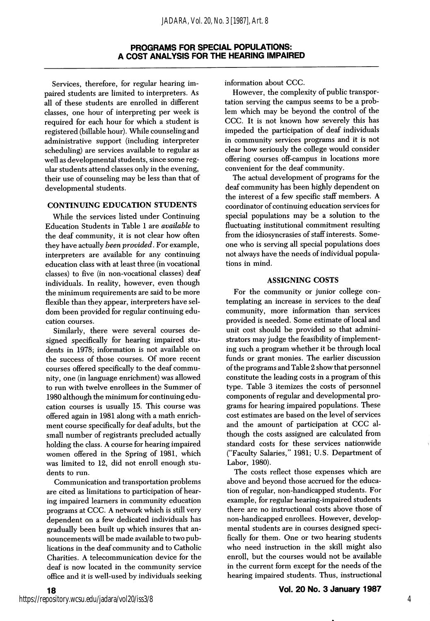Services, therefore, for regular hearing im paired students are limited to interpreters. As ail of these students are enrolled in different classes, one hour of interpreting per week is required for each hour for which a student is registered (billable hour). While counseling and administrative support (including interpreter scheduling) are services available to regular as well as developmental students, since some reg ular students attend classes only in the evening, their use of counseling may be less than that of developmental students.

#### CONTINUING EDUCATION STUDENTS

While the services listed under Continuing Education Students in Table 1 are available to the deaf community, it is not clear how often they have actually been provided. For example, interpreters are available for any continuing education class with at least three (in vocational classes) to five (in non-vocational classes) deaf individuals. In reality, however, even though the minimum requirements are said to be more flexible than they appear, interpreters have sel dom been provided for regular continuing edu cation courses.

Similarly, there were several courses de signed specifically for hearing impaired stu dents in 1978; information is not available on the success of those courses. Of more recent courses offered specifically to the deaf commu nity, one (in language enrichment) was allowed to run with twelve enrollees in the Summer of 1980 although the minimum for continuing edu cation courses is usually 15. This course was offered again in 1981 along with a math enrich ment course specifically for deaf adults, but the small number of registrants precluded actually holding the class. A course for hearing impaired women offered in the Spring of 1981, which was limited to 12, did not enroll enough stu dents to run.

Communication and transportation problems are cited as limitations to participation of hear ing impaired learners in community education programs at CCC. A network which is still very dependent on a few dedicated individuals has gradually been built up which insures that an nouncements will be made available to two pub lications in the deaf community and to Catholic Charities. A telecommunication device for the deaf is now located in the community service office and it is well-used by individuals seeking information about CCC.

However, the complexity of public transpor tation serving the campus seems to be a prob lem which may be beyond the control of the CCC. It is not known how severely this has impeded the participation of deaf individuals in community services programs and it is not clear how seriously the college would consider offering courses off-campus in locations more convenient for the deaf community.

The actual development of programs for the deaf community has been highly dependent on the interest of a few specific staff members. A coordinator of continuing education services for special populations may be a solution to the fluctuating institutional commitment resulting from the idiosyncrasies of staff interests. Some one who is serving all special populations does not always have the needs of individual popula tions in mind.

#### ASSIGNING COSTS

For the community or junior college con templating an increase in services to the deal community, more information than services provided is needed. Some estimate of local and unit cost should be provided so that admini strators may judge the feasibility of implement ing such a program whether it be through local funds or grant monies. The earlier discussion of the programs and Table 2 show that personnel constitute the leading costs in a program of this type. Table 3 itemizes the costs of personnel components of regular and developmental pro grams for hearing impaired populations. These cost estimates are based on the level of services and the amount of participation at CCC al though the costs assigned are calculated from standard costs for these services nationwide ("Faculty Salaries," 1981; U.S. Department of Labor, 1980).

The costs reflect those expenses which are above and beyond those accrued for the educa tion of regular, non-handicapped students. For example, for regular hearing-impaired students there are no instructional costs above those of non-handicapped enrollees. However, develop mental students are in courses designed speci fically for them. One or two hearing students who need instruction in the skill might also enroll, but the courses would not be available in the current form except for the needs of the hearing impaired students. Thus, instructional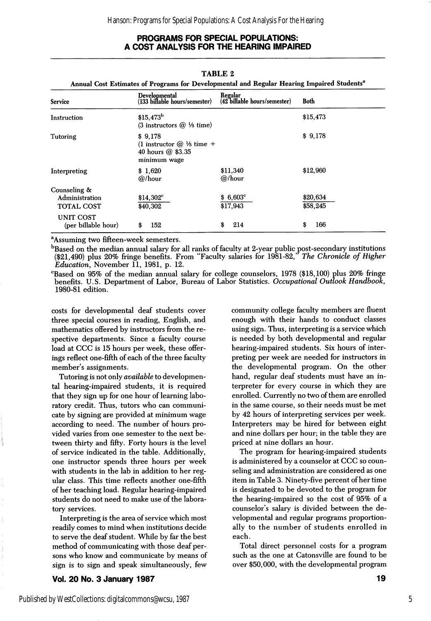| Service                                      | <b>Developmental</b><br>(133 billable hours/semester)                                  | Regular<br>(42 billable hours/semester) | <b>Both</b>          |
|----------------------------------------------|----------------------------------------------------------------------------------------|-----------------------------------------|----------------------|
| Instruction                                  | $$15,473^b$<br>$(3$ instructors $(2)$ <sup>1</sup> / <sub>5</sub> time)                |                                         | \$15,473             |
| Tutoring                                     | \$9,178<br>(1 instructor $@$ $\frac{1}{5}$ time +<br>40 hours @ \$3.35<br>minimum wage |                                         | \$9,178              |
| Interpreting                                 | \$1,620<br>$@$ /hour                                                                   | \$11,340<br>@/hour                      | \$12,960             |
| Counseling &<br>Administration<br>TOTAL COST | $$14,302^{\circ}$<br>\$40,302                                                          | $$6,603^{\circ}$$<br>\$17,943           | \$20,634<br>\$58,245 |
| UNIT COST<br>(per billable hour)             | 152<br>\$                                                                              | \$<br>214                               | 166<br>\$            |

#### TABLE 2

<sup>a</sup>Assuming two fifteen-week semesters.

"Based on the median annual salary for all ranks of faculty at 2-year public post-secondary institutions (\$21,490) plus 20% fringe benefits. From "Faculty salaries for 1981-82," The Chronicle of Higher Education, November 11, 1981, p. 12.

^Based on 95% of the median annual salary for college counselors, 1978 (\$18,100) plus 20% fringe benefits. U.S. Department of Labor, Bureau of Labor Statistics. Occupational Outlook Handbook, 1980-81 edition.

costs for developmental deaf students cover three special courses in reading, English, and mathematics offered by instructors from the re spective departments. Since a faculty course load at CCC is 15 hours per week, these offer ings reflect one-fifth of each of the three faculty member's assignments.

Tutoring is not only *available* to developmental hearing-impaired students, it is required that they sign up for one hour of learning labo ratory credit. Thus, tutors who can communi cate by signing are provided at minimum wage according to need. The number of hours pro vided varies from one semester to the next be tween thirty and fifty. Forty hours is the level of service indicated in the table. Additionally, one instructor spends three hours per week with students in the lab in addition to her reg ular class. This time reflects another one-fifth of her teaching load. Regular hearing-impaired students do not need to make use of the labora tory services.

Interpreting is the area of service which most readily comes to mind when institutions decide to serve the deaf student. While by far the best method of communicating with those deaf per sons who know and communicate by means of sign is to sign and speak simultaneously, few

community college faculty members are fluent enough with their hands to conduct classes using sign. Thus, interpreting is a service which is needed by both developmental and regular hearing-impaired students. Six hours of inter preting per week are needed for instructors in the developmental program. On the other hand, regular deaf students must have an in terpreter for every course in which they are enrolled. Currently no two of them are enrolled in the same course, so their needs must be met by 42 hours of interpreting services per week. Interpreters may be hired for between eight and nine dollars per hour; in the table they are priced at nine dollars an hour.

The program for hearing-impaired students is administered by a counselor at CCC so coun seling and administration are considered as one item in Table 3. Ninety-five percent of her time is designated to be devoted to the program for the hearing-impaired so the cost of 95% of a counselor's salary is divided between the de velopmental and regular programs proportion ally to the number of students enrolled in each.

Total direct personnel costs for a program such as the one at Catonsville are found to be over \$50,000, with the developmental program

Vol. 20 No. 3 January 1987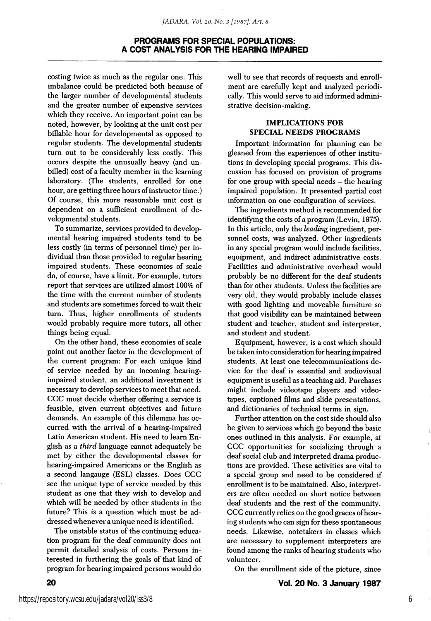costing twice as much as the regular one. This imbalance could be predicted both because of the larger number of developmental students and the greater number of expensive services which they receive. An important point can be noted, however, by looking at the unit cost per billable hour for developmental as opposed to regular students. The developmental students turn out to be considerably less costly. This occurs despite the unusually heavy (and un billed) cost of a faculty member in the learning laboratory. (The students, enrolled for one hour, are getting three hours of instructor time.) Of course, this more reasonable unit cost is dependent on a sufficient enrollment of de velopmental students.

To summarize, services provided to develop mental hearing impaired students tend to be less costly (in terms of personnel time) per in dividual than those provided to regular hearing impaired students. These economies of scale do, of course, have a limit. For example, tutors report that services are utilized almost 100% of the time with the current number of students and students are sometimes forced to wait their turn. Thus, higher enrollments of students would probably require more tutors, all other things being equal.

On the other hand, these economies of scale point out another factor in the development of the current program: For each unique kind of service needed by an incoming hearingimpaired student, an additional investment is necessary to develop services to meet that need. CCC must decide whether offering a service is feasible, given current objectives and future demands. An example of this dilemma has oc curred with the arrival of a hearing-impaired Latin American student. His need to leam En glish as a third language cannot adequately be met by either the developmental classes for hearing-impaired Americans or the English as a second langauge (ESL) classes. Does CCC see the unique type of service needed by this student as one that they wish to develop and which will be needed by other students in the future? This is a question which must be ad dressed whenever a unique need is identified.

The unstable status of the continuing educa tion program for the deaf community does not permit detailed analysis of costs. Persons in terested in furthering the goals of that kind of program for hearing impaired persons would do

well to see that records of requests and enrollment are carefully kept and analyzed periodi cally. This would serve to aid informed admini strative decision-making.

## IMPLICATIONS FOR SPECIAL NEEDS PROGRAMS

Important information for planning can be gleaned from the experiences of other institu tions in developing special programs. This dis cussion has focused on provision of programs for one group with special needs - the hearing impaired population. It presented partial cost information on one configuration of services.

The ingredients method is recommended for identifying the costs of a program (Levin, 1975). In this article, only the leading ingredient, per sonnel costs, was analyzed. Other ingredients in any special program would include facilities, equipment, and indirect administrative costs. Facilities and administrative overhead would probably be no different for the deaf students than for other students. Unless the facilities are very old, they would probably include classes with good lighting and moveable furniture so that good visibility can be maintained between student and teacher, student and interpreter, and student and student.

Equipment, however, is a cost which should be taken into consideration for hearing impaired students. At least one telecommunications de vice for the deaf is essential and audiovisual equipment is useful as a teaching aid. Purchases might include videotape players and video tapes, captioned films and slide presentations, and dictionaries of technical terms in sign.

Further attention on the cost side should also be given to services which go beyond the basic ones outlined in this analysis. For example, at CCC opportunities for socializing through a deaf social club and interpreted drama produc tions are provided. These activities are vital to a special group and need to be considered if enrollment is to be maintained. Also, interpret ers are often needed on short notice between deaf students and the rest of the community. CCC currently relies on the good graces of hear ing students who can sign for these spontaneous needs. Likewise, notetakers in classes which are necessary to supplement interpreters are found among the ranks of hearing students who volunteer.

On the enrollment side of the picture, since